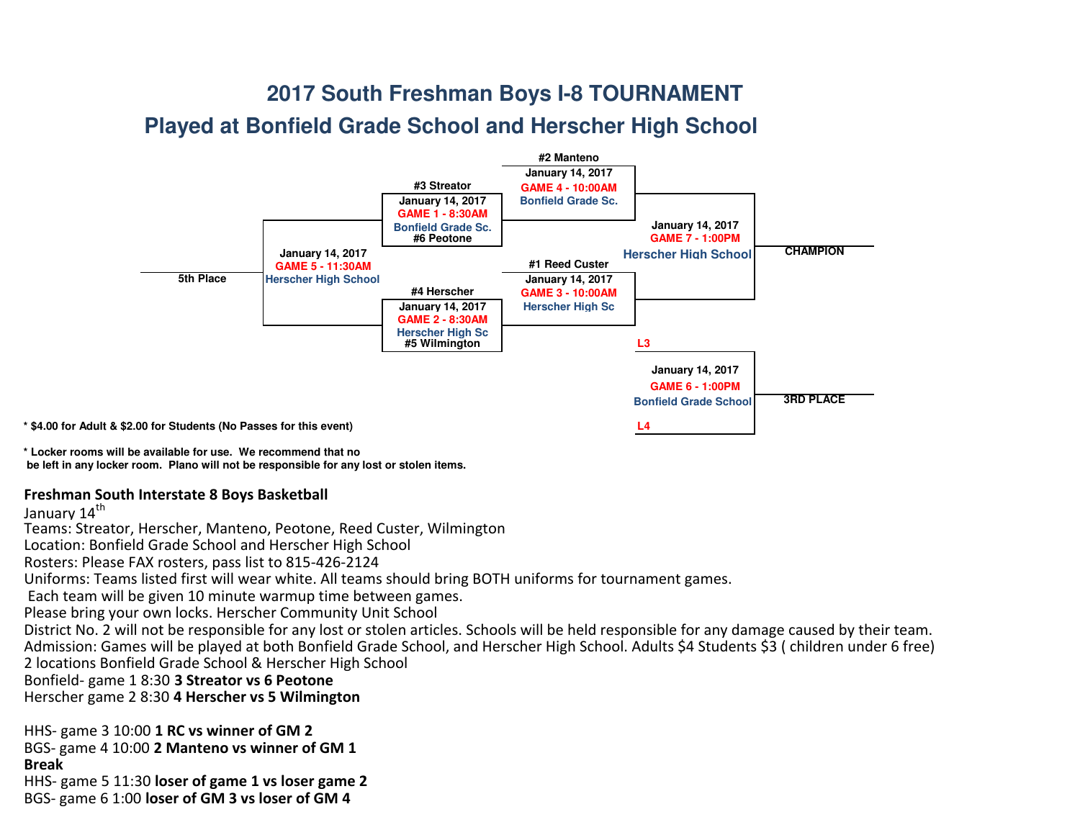## **2017 South Freshman Boys I-8 TOURNAMENT**

## **Played at Bonfield Grade School and Herscher High School**



**\* Locker rooms will be available for use. We recommend that no be left in any locker room. Plano will not be responsible for any lost or stolen items.**

## Freshman South Interstate 8 Boys Basketball

January 14<sup>th</sup>

Teams: Streator, Herscher, Manteno, Peotone, Reed Custer, WilmingtonLocation: Bonfield Grade School and Herscher High SchoolRosters: Please FAX rosters, pass list to 815-426-2124 Uniforms: Teams listed first will wear white. All teams should bring BOTH uniforms for tournament games. Each team will be given 10 minute warmup time between games. Please bring your own locks. Herscher Community Unit School District No. 2 will not be responsible for any lost or stolen articles. Schools will be held responsible for any damage caused by their team. Admission: Games will be played at both Bonfield Grade School, and Herscher High School. Adults \$4 Students \$3 ( children under 6 free)2 locations Bonfield Grade School & Herscher High SchoolBonfield- game 1 8:30 3 Streator vs 6 PeotoneHerscher game 2 8:30 **4 Herscher vs 5 Wilmington** 

HHS- game 3 10:00 1 RC vs winner of GM 2BGS- game 4 10:00 **2 Manteno vs winner of GM 1** BreakHHS- game 5 11:30 loser of game 1 vs loser game 2

BGS- game 6 1:00 loser of GM 3 vs loser of GM 4